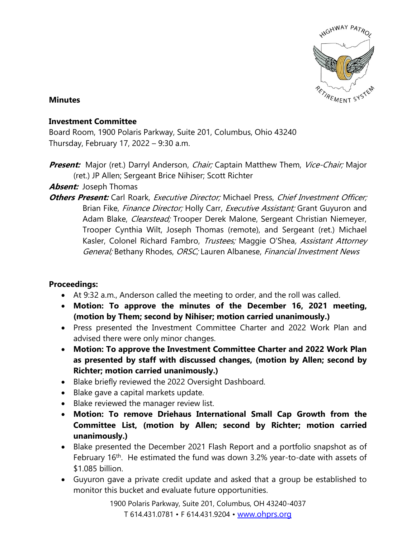

## **Minutes**

## **Investment Committee**

Board Room, 1900 Polaris Parkway, Suite 201, Columbus, Ohio 43240 Thursday, February 17, 2022 – 9:30 a.m.

**Present:** Major (ret.) Darryl Anderson, *Chair;* Captain Matthew Them, *Vice-Chair;* Major (ret.) JP Allen; Sergeant Brice Nihiser; Scott Richter

# **Absent:** Joseph Thomas

**Others Present:** Carl Roark, *Executive Director;* Michael Press, *Chief Investment Officer;* Brian Fike, Finance Director; Holly Carr, Executive Assistant; Grant Guyuron and Adam Blake, Clearstead; Trooper Derek Malone, Sergeant Christian Niemeyer, Trooper Cynthia Wilt, Joseph Thomas (remote), and Sergeant (ret.) Michael Kasler, Colonel Richard Fambro, *Trustees;* Maggie O'Shea, *Assistant Attorney* General; Bethany Rhodes, ORSC; Lauren Albanese, Financial Investment News

## **Proceedings:**

- At 9:32 a.m., Anderson called the meeting to order, and the roll was called.
- **Motion: To approve the minutes of the December 16, 2021 meeting, (motion by Them; second by Nihiser; motion carried unanimously.)**
- Press presented the Investment Committee Charter and 2022 Work Plan and advised there were only minor changes.
- **Motion: To approve the Investment Committee Charter and 2022 Work Plan as presented by staff with discussed changes, (motion by Allen; second by Richter; motion carried unanimously.)**
- Blake briefly reviewed the 2022 Oversight Dashboard.
- Blake gave a capital markets update.
- Blake reviewed the manager review list.
- **Motion: To remove Driehaus International Small Cap Growth from the Committee List, (motion by Allen; second by Richter; motion carried unanimously.)**
- Blake presented the December 2021 Flash Report and a portfolio snapshot as of February 16<sup>th</sup>. He estimated the fund was down 3.2% year-to-date with assets of \$1.085 billion.
- Guyuron gave a private credit update and asked that a group be established to monitor this bucket and evaluate future opportunities.

1900 Polaris Parkway, Suite 201, Columbus, OH 43240-4037 T 614.431.0781 • F 614.431.9204 • [www.ohprs.org](http://www.ohprs.org/)